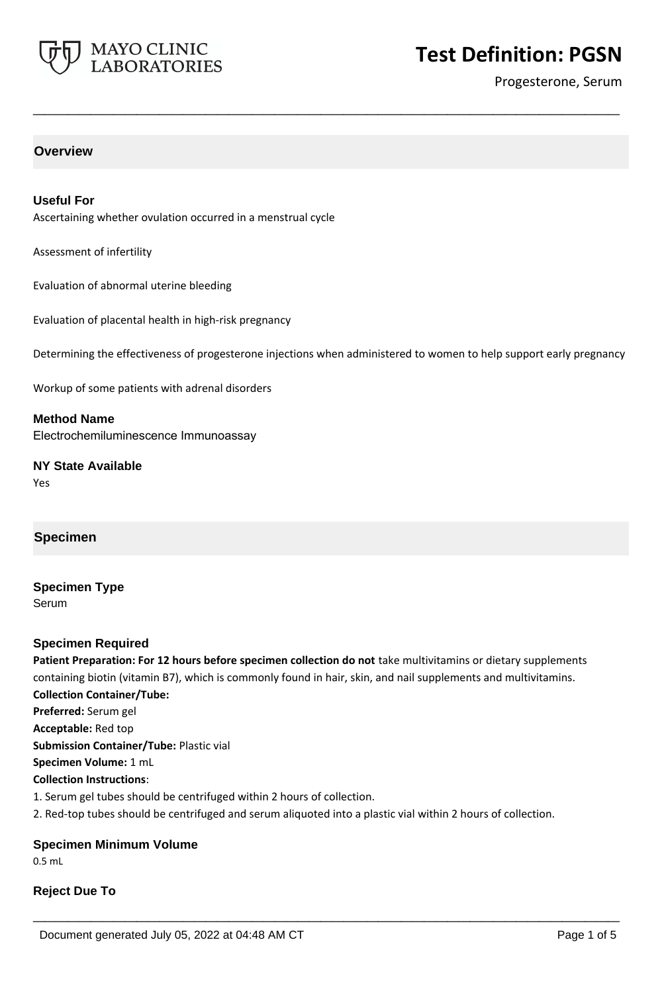

Progesterone, Serum

## **Overview**

## **Useful For**

Ascertaining whether ovulation occurred in a menstrual cycle

Assessment of infertility

Evaluation of abnormal uterine bleeding

Evaluation of placental health in high-risk pregnancy

Determining the effectiveness of progesterone injections when administered to women to help support early pregnancy

**\_\_\_\_\_\_\_\_\_\_\_\_\_\_\_\_\_\_\_\_\_\_\_\_\_\_\_\_\_\_\_\_\_\_\_\_\_\_\_\_\_\_\_\_\_\_\_\_\_\_\_**

Workup of some patients with adrenal disorders

**Method Name** Electrochemiluminescence Immunoassay

**NY State Available** Yes

## **Specimen**

**Specimen Type** Serum

## **Specimen Required**

**Patient Preparation: For 12 hours before specimen collection do not** take multivitamins or dietary supplements containing biotin (vitamin B7), which is commonly found in hair, skin, and nail supplements and multivitamins. **Collection Container/Tube: Preferred:** Serum gel **Acceptable:** Red top **Submission Container/Tube:** Plastic vial **Specimen Volume:** 1 mL **Collection Instructions**: 1. Serum gel tubes should be centrifuged within 2 hours of collection. 2. Red-top tubes should be centrifuged and serum aliquoted into a plastic vial within 2 hours of collection.

**\_\_\_\_\_\_\_\_\_\_\_\_\_\_\_\_\_\_\_\_\_\_\_\_\_\_\_\_\_\_\_\_\_\_\_\_\_\_\_\_\_\_\_\_\_\_\_\_\_\_\_**

## **Specimen Minimum Volume**

0.5 mL

# **Reject Due To**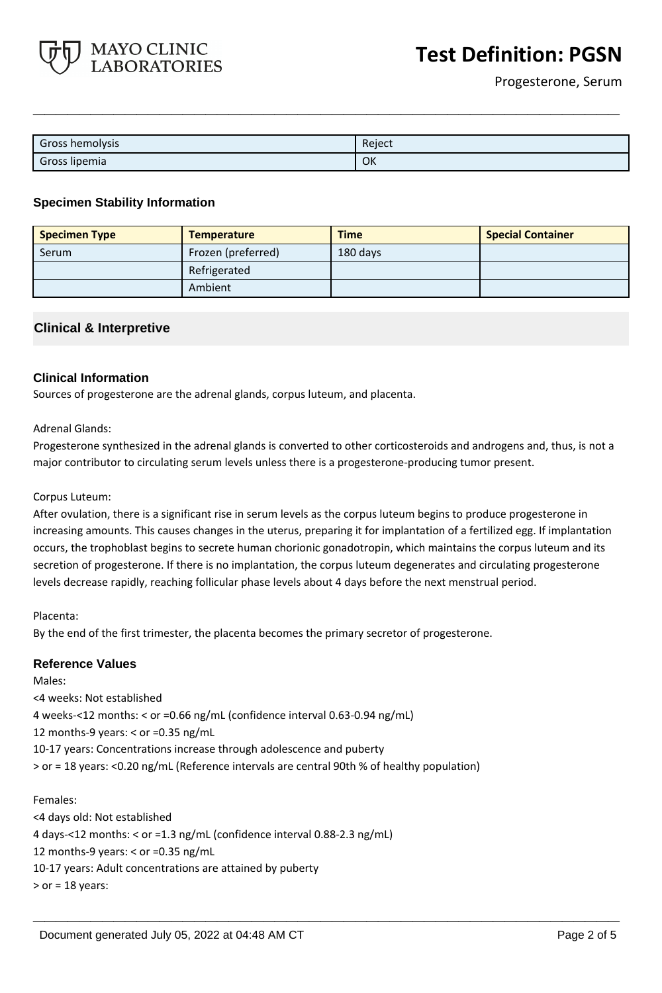

| Gross hemolysis | Reject |
|-----------------|--------|
| Gross lipemia   | OK     |

**\_\_\_\_\_\_\_\_\_\_\_\_\_\_\_\_\_\_\_\_\_\_\_\_\_\_\_\_\_\_\_\_\_\_\_\_\_\_\_\_\_\_\_\_\_\_\_\_\_\_\_**

## **Specimen Stability Information**

| <b>Specimen Type</b> | <b>Temperature</b> | <b>Time</b> | <b>Special Container</b> |
|----------------------|--------------------|-------------|--------------------------|
| Serum                | Frozen (preferred) | 180 days    |                          |
|                      | Refrigerated       |             |                          |
|                      | Ambient            |             |                          |

## **Clinical & Interpretive**

## **Clinical Information**

Sources of progesterone are the adrenal glands, corpus luteum, and placenta.

## Adrenal Glands:

Progesterone synthesized in the adrenal glands is converted to other corticosteroids and androgens and, thus, is not a major contributor to circulating serum levels unless there is a progesterone-producing tumor present.

#### Corpus Luteum:

After ovulation, there is a significant rise in serum levels as the corpus luteum begins to produce progesterone in increasing amounts. This causes changes in the uterus, preparing it for implantation of a fertilized egg. If implantation occurs, the trophoblast begins to secrete human chorionic gonadotropin, which maintains the corpus luteum and its secretion of progesterone. If there is no implantation, the corpus luteum degenerates and circulating progesterone levels decrease rapidly, reaching follicular phase levels about 4 days before the next menstrual period.

**\_\_\_\_\_\_\_\_\_\_\_\_\_\_\_\_\_\_\_\_\_\_\_\_\_\_\_\_\_\_\_\_\_\_\_\_\_\_\_\_\_\_\_\_\_\_\_\_\_\_\_**

Placenta:

By the end of the first trimester, the placenta becomes the primary secretor of progesterone.

## **Reference Values**

Males:

<4 weeks: Not established 4 weeks-<12 months: < or =0.66 ng/mL (confidence interval 0.63-0.94 ng/mL) 12 months-9 years: < or =0.35 ng/mL 10-17 years: Concentrations increase through adolescence and puberty > or = 18 years: <0.20 ng/mL (Reference intervals are central 90th % of healthy population)

#### Females:

<4 days old: Not established 4 days-<12 months: < or =1.3 ng/mL (confidence interval 0.88-2.3 ng/mL) 12 months-9 years: < or =0.35 ng/mL 10-17 years: Adult concentrations are attained by puberty  $>$  or = 18 years: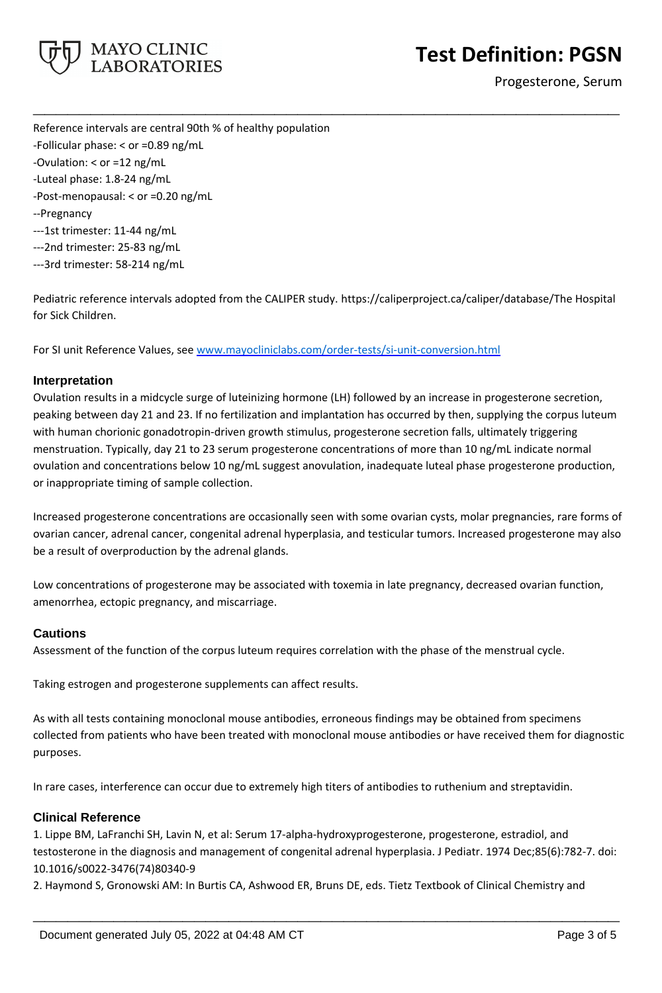

Progesterone, Serum

Reference intervals are central 90th % of healthy population -Follicular phase: < or =0.89 ng/mL -Ovulation: < or =12 ng/mL -Luteal phase: 1.8-24 ng/mL -Post-menopausal: < or =0.20 ng/mL --Pregnancy ---1st trimester: 11-44 ng/mL ---2nd trimester: 25-83 ng/mL ---3rd trimester: 58-214 ng/mL

Pediatric reference intervals adopted from the CALIPER study. https://caliperproject.ca/caliper/database/The Hospital for Sick Children.

**\_\_\_\_\_\_\_\_\_\_\_\_\_\_\_\_\_\_\_\_\_\_\_\_\_\_\_\_\_\_\_\_\_\_\_\_\_\_\_\_\_\_\_\_\_\_\_\_\_\_\_**

For SI unit Reference Values, see [www.mayocliniclabs.com/order-tests/si-unit-conversion.html](https://www.mayocliniclabs.com/order-tests/si-unit-conversion.html)

## **Interpretation**

Ovulation results in a midcycle surge of luteinizing hormone (LH) followed by an increase in progesterone secretion, peaking between day 21 and 23. If no fertilization and implantation has occurred by then, supplying the corpus luteum with human chorionic gonadotropin-driven growth stimulus, progesterone secretion falls, ultimately triggering menstruation. Typically, day 21 to 23 serum progesterone concentrations of more than 10 ng/mL indicate normal ovulation and concentrations below 10 ng/mL suggest anovulation, inadequate luteal phase progesterone production, or inappropriate timing of sample collection.

Increased progesterone concentrations are occasionally seen with some ovarian cysts, molar pregnancies, rare forms of ovarian cancer, adrenal cancer, congenital adrenal hyperplasia, and testicular tumors. Increased progesterone may also be a result of overproduction by the adrenal glands.

Low concentrations of progesterone may be associated with toxemia in late pregnancy, decreased ovarian function, amenorrhea, ectopic pregnancy, and miscarriage.

## **Cautions**

Assessment of the function of the corpus luteum requires correlation with the phase of the menstrual cycle.

Taking estrogen and progesterone supplements can affect results.

As with all tests containing monoclonal mouse antibodies, erroneous findings may be obtained from specimens collected from patients who have been treated with monoclonal mouse antibodies or have received them for diagnostic purposes.

In rare cases, interference can occur due to extremely high titers of antibodies to ruthenium and streptavidin.

## **Clinical Reference**

1. Lippe BM, LaFranchi SH, Lavin N, et al: Serum 17-alpha-hydroxyprogesterone, progesterone, estradiol, and testosterone in the diagnosis and management of congenital adrenal hyperplasia. J Pediatr. 1974 Dec;85(6):782-7. doi: 10.1016/s0022-3476(74)80340-9

**\_\_\_\_\_\_\_\_\_\_\_\_\_\_\_\_\_\_\_\_\_\_\_\_\_\_\_\_\_\_\_\_\_\_\_\_\_\_\_\_\_\_\_\_\_\_\_\_\_\_\_**

2. Haymond S, Gronowski AM: In Burtis CA, Ashwood ER, Bruns DE, eds. Tietz Textbook of Clinical Chemistry and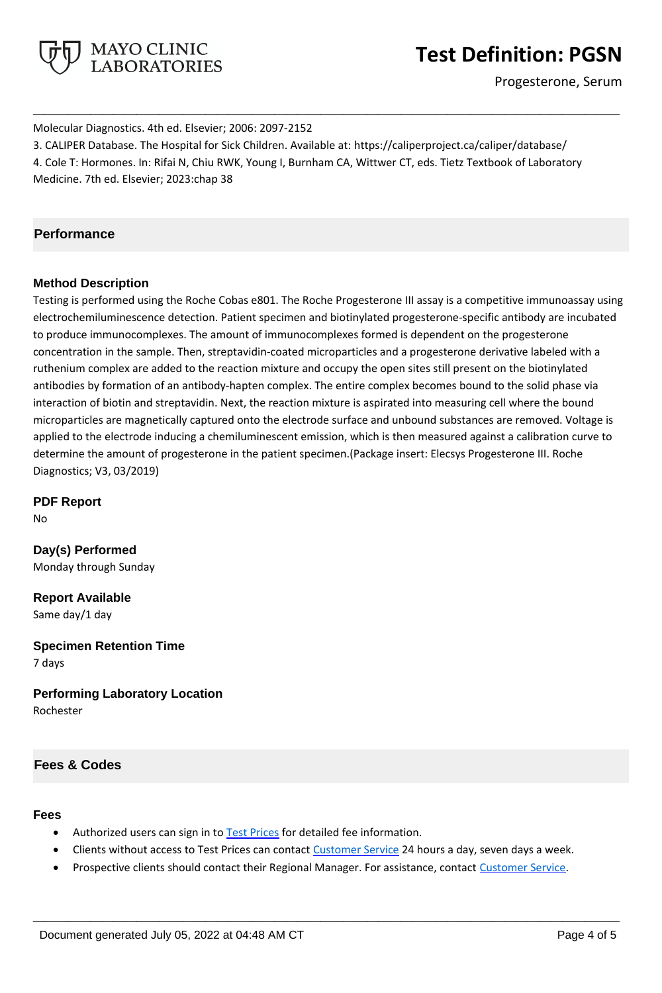

Progesterone, Serum

Molecular Diagnostics. 4th ed. Elsevier; 2006: 2097-2152 3. CALIPER Database. The Hospital for Sick Children. Available at: https://caliperproject.ca/caliper/database/ 4. Cole T: Hormones. In: Rifai N, Chiu RWK, Young I, Burnham CA, Wittwer CT, eds. Tietz Textbook of Laboratory Medicine. 7th ed. Elsevier; 2023:chap 38

**\_\_\_\_\_\_\_\_\_\_\_\_\_\_\_\_\_\_\_\_\_\_\_\_\_\_\_\_\_\_\_\_\_\_\_\_\_\_\_\_\_\_\_\_\_\_\_\_\_\_\_**

# **Performance**

## **Method Description**

Testing is performed using the Roche Cobas e801. The Roche Progesterone III assay is a competitive immunoassay using electrochemiluminescence detection. Patient specimen and biotinylated progesterone-specific antibody are incubated to produce immunocomplexes. The amount of immunocomplexes formed is dependent on the progesterone concentration in the sample. Then, streptavidin-coated microparticles and a progesterone derivative labeled with a ruthenium complex are added to the reaction mixture and occupy the open sites still present on the biotinylated antibodies by formation of an antibody-hapten complex. The entire complex becomes bound to the solid phase via interaction of biotin and streptavidin. Next, the reaction mixture is aspirated into measuring cell where the bound microparticles are magnetically captured onto the electrode surface and unbound substances are removed. Voltage is applied to the electrode inducing a chemiluminescent emission, which is then measured against a calibration curve to determine the amount of progesterone in the patient specimen.(Package insert: Elecsys Progesterone III. Roche Diagnostics; V3, 03/2019)

**PDF Report**

No

**Day(s) Performed** Monday through Sunday

**Report Available** Same day/1 day

**Specimen Retention Time** 7 days

**Performing Laboratory Location** Rochester

# **Fees & Codes**

# **Fees**

- Authorized users can sign in to [Test Prices](https://www.mayocliniclabs.com/customer-service/client-price-lookup/index.html?unit_code=PGSN) for detailed fee information.
- Clients without access to Test Prices can contact [Customer Service](http://www.mayocliniclabs.com/customer-service/contacts.html) 24 hours a day, seven days a week.
- Prospective clients should contact their Regional Manager. For assistance, contact [Customer Service.](http://www.mayocliniclabs.com/customer-service/contacts.html)

**\_\_\_\_\_\_\_\_\_\_\_\_\_\_\_\_\_\_\_\_\_\_\_\_\_\_\_\_\_\_\_\_\_\_\_\_\_\_\_\_\_\_\_\_\_\_\_\_\_\_\_**